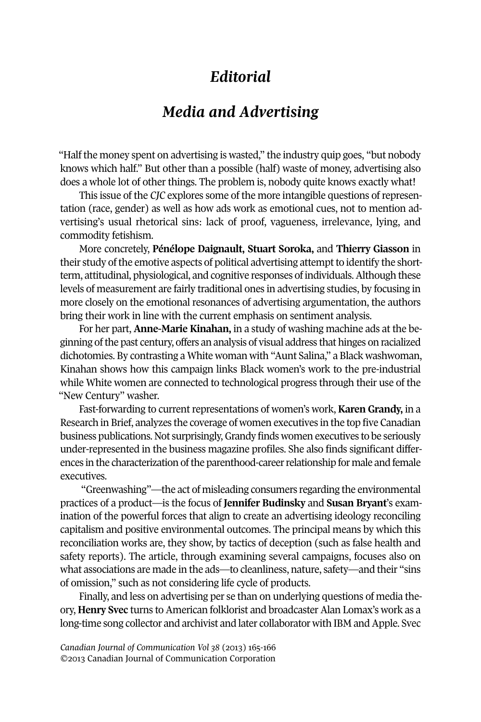## *Editorial*

## *Media and Advertising*

"Half the money spent on advertising is wasted," the industry quip goes, "but nobody knows which half." But other than a possible (half) waste of money, advertising also does a whole lot of other things. The problem is, nobody quite knows exactly what!

This issue of the *CJC* explores some of the more intangible questions of representation (race, gender) as well as how ads work as emotional cues, not to mention advertising's usual rhetorical sins: lack of proof, vagueness, irrelevance, lying, and commodity fetishism.

More concretely, **Pénélope Daignault, Stuart Soroka,** and **Thierry Giasson** in their study of the emotive aspects of political advertising attempt to identify the shortterm, attitudinal, physiological, and cognitive responses of individuals.Although these levels of measurement are fairly traditional ones in advertising studies, by focusing in more closely on the emotional resonances of advertising argumentation, the authors bring their work in line with the current emphasis on sentiment analysis.

For her part, **Anne-Marie Kinahan,** in a study of washing machine ads at the beginning ofthe past century, offers an analysis of visual address that hinges on racialized dichotomies. By contrasting a White woman with "Aunt Salina," a Black washwoman, Kinahan shows how this campaign links Black women's work to the pre-industrial while White women are connected to technological progress through their use of the "New Century" washer.

Fast-forwarding to current representations of women's work, **Karen Grandy,** in a Research in Brief, analyzes the coverage of women executives in the top five Canadian business publications. Not surprisingly,Grandy finds women executives to be seriously under-represented in the business magazine profiles. She also finds significant differences in the characterization of the parenthood-career relationship for male and female executives.

"Greenwashing"—the act of misleading consumers regarding the environmental practices of a product—is the focus of **Jennifer Budinsky** and **Susan Bryant**'s examination of the powerful forces that align to create an advertising ideology reconciling capitalism and positive environmental outcomes. The principal means by which this reconciliation works are, they show, by tactics of deception (such as false health and safety reports). The article, through examining several campaigns, focuses also on what associations are made in the ads—to cleanliness, nature, safety—and their "sins of omission," such as not considering life cycle of products.

Finally, and less on advertising per se than on underlying questions of media theory, **Henry Svec** turns to American folklorist and broadcaster Alan Lomax's work as a long-time song collector and archivist and later collaborator with IBM and Apple. Svec